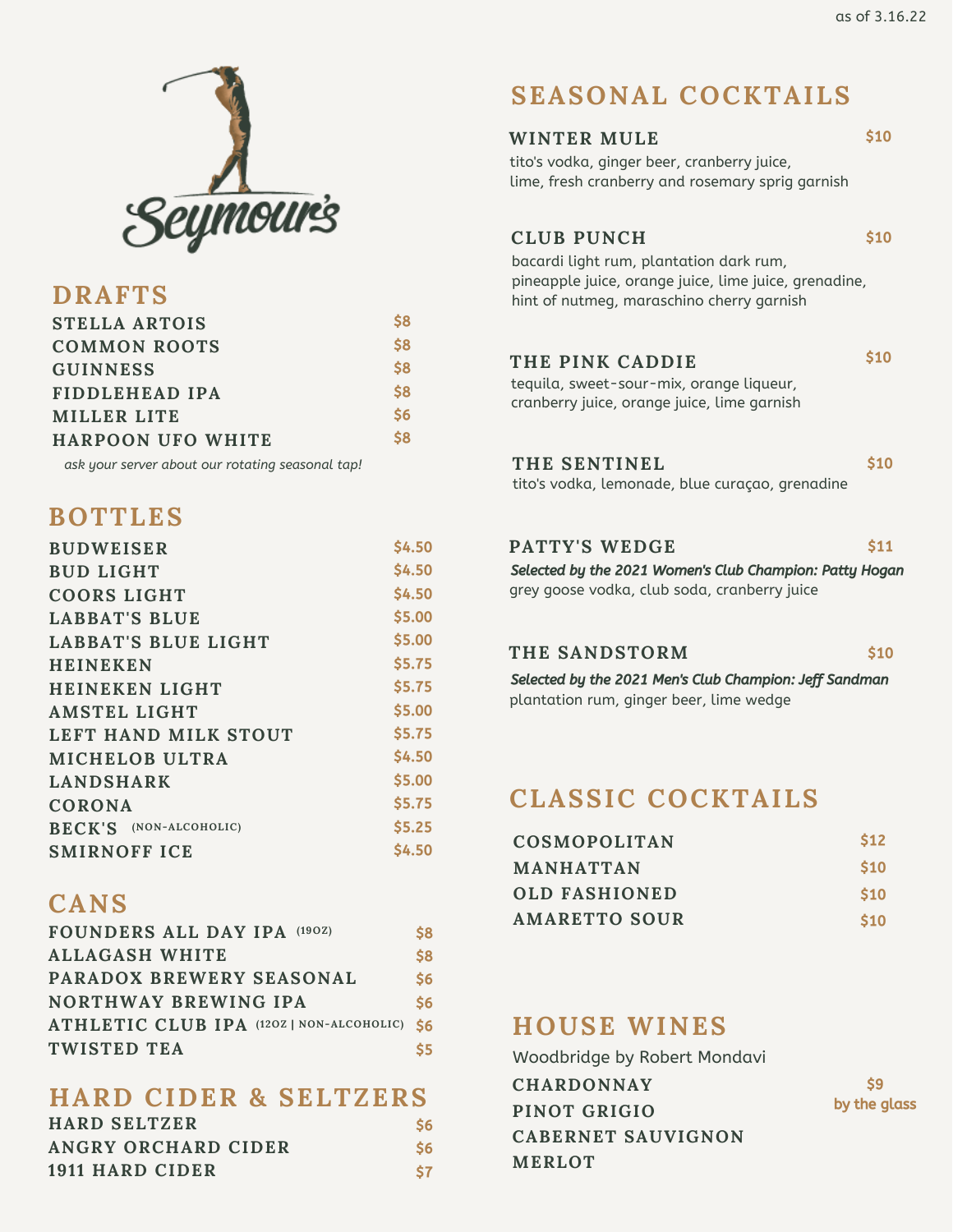

### **DRAFTS**

| <b>STELLA ARTOIS</b>     | S8            |
|--------------------------|---------------|
| <b>COMMON ROOTS</b>      | \$8           |
| <b>GUINNESS</b>          | \$8           |
| FIDDLEHEAD IPA           | \$8           |
| MILLER LITE              | $\mathsf{S6}$ |
| <b>HARPOON UFO WHITE</b> | \$8           |

*ask your server about our rotating seasonal tap!*

# **BOTTLES**

| <b>BUDWEISER</b>              | <b>S4.50</b> |
|-------------------------------|--------------|
| <b>BUD LIGHT</b>              | <b>S4.50</b> |
| <b>COORS LIGHT</b>            | \$4.50       |
| LABBAT'S BLUE                 | \$5.00       |
| <b>LABBAT'S BLUE LIGHT</b>    | \$5.00       |
| <b>HEINEKEN</b>               | \$5.75       |
| <b>HEINEKEN LIGHT</b>         | \$5.75       |
| <b>AMSTEL LIGHT</b>           | \$5.00       |
| LEFT HAND MILK STOUT          | \$5.75       |
| <b>MICHELOB ULTRA</b>         | \$4.50       |
| <b>LANDSHARK</b>              | \$5.00       |
| CORONA                        | \$5.75       |
| <b>BECK'S</b> (NON-ALCOHOLIC) | \$5.25       |
| <b>SMIRNOFF ICE</b>           | \$4.50       |
|                               |              |

## **CANS**

| FOUNDERS ALL DAY IPA (190Z)              | \$8           |
|------------------------------------------|---------------|
| <b>ALLAGASH WHITE</b>                    | \$8           |
| PARADOX BREWERY SEASONAL                 | \$6           |
| <b>NORTHWAY BREWING IPA</b>              | $\mathsf{S6}$ |
| ATHLETIC CLUB IPA (120Z   NON-ALCOHOLIC) | <b>S6</b>     |
| TWISTED TEA                              | S5.           |

### **HARD CIDER & SELTZERS**

| <b>HARD SELTZER</b> | S6 |
|---------------------|----|
| ANGRY ORCHARD CIDER | S6 |
| 1911 HARD CIDER     | S7 |

# **SEASONAL COCKTAILS**

| <b>MULE</b> | \$10 |
|-------------|------|
|             |      |

tito's vodka, ginger beer, cranberry juice, lime, fresh cranberry and rosemary sprig garnish

### **CLUB PUNCH**

**WINTER** 

\$10

\$10

bacardi light rum, plantation dark rum, pineapple juice, orange juice, lime juice, grenadine, hint of nutmeg, maraschino cherry garnish

### **THE PINK CADDIE**

tequila, sweet-sour-mix, orange liqueur, cranberry juice, orange juice, lime garnish

| THE SENTINEL                                    | \$10 |
|-------------------------------------------------|------|
| tito's vodka, lemonade, blue curaçao, grenadine |      |

#### **PATTY'S WEDGE** \$11

grey goose vodka, club soda, cranberry juice Selected by the 2021 Women's Club Champion: Patty Hogan

#### **THE SANDSTORM**

\$10

plantation rum, ginger beer, lime wedge Selected by the 2021 Men's Club Champion: Jeff Sandman

# **CLASSIC COCKTAILS**

| <b>COSMOPOLITAN</b>  | S <sub>12</sub> |
|----------------------|-----------------|
| <b>MANHATTAN</b>     | <b>S10</b>      |
| <b>OLD FASHIONED</b> | \$10            |
| AMARETTO SOUR        | <b>S10</b>      |

### **HOUSE WINES**

**CHARDONNAY PINOT GRIGIO CABERNET SAUVIGNON MERLOT** Woodbridge by Robert Mondavi

\$9 by the glass